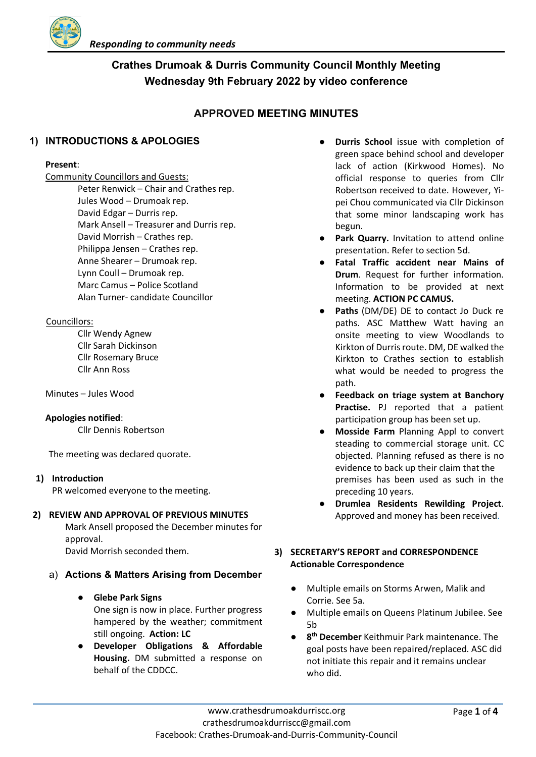

# **Crathes Drumoak & Durris Community Council Monthly Meeting Wednesday 9th February 2022 by video conference**

# **APPROVED MEETING MINUTES**

# **1) INTRODUCTIONS & APOLOGIES**

#### **Present**:

Community Councillors and Guests:

Peter Renwick – Chair and Crathes rep. Jules Wood – Drumoak rep. David Edgar – Durris rep. Mark Ansell – Treasurer and Durris rep. David Morrish – Crathes rep. Philippa Jensen – Crathes rep. Anne Shearer – Drumoak rep. Lynn Coull – Drumoak rep. Marc Camus – Police Scotland Alan Turner- candidate Councillor

## Councillors:

Cllr Wendy Agnew Cllr Sarah Dickinson Cllr Rosemary Bruce Cllr Ann Ross

Minutes – Jules Wood

#### **Apologies notified**:

Cllr Dennis Robertson

The meeting was declared quorate.

## **1) Introduction**

PR welcomed everyone to the meeting.

## **2) REVIEW AND APPROVAL OF PREVIOUS MINUTES**

Mark Ansell proposed the December minutes for approval. David Morrish seconded them.

# a) **Actions & Matters Arising from December**

## ● **Glebe Park Signs**

One sign is now in place. Further progress hampered by the weather; commitment still ongoing. **Action: LC**

● **Developer Obligations & Affordable Housing.** DM submitted a response on behalf of the CDDCC.

- **Durris School** issue with completion of green space behind school and developer lack of action (Kirkwood Homes). No official response to queries from Cllr Robertson received to date. However, Yipei Chou communicated via Cllr Dickinson that some minor landscaping work has begun.
- **Park Quarry.** Invitation to attend online presentation. Refer to section 5d.
- **Fatal Traffic accident near Mains of Drum**. Request for further information. Information to be provided at next meeting. **ACTION PC CAMUS.**
- Paths (DM/DE) DE to contact Jo Duck re paths. ASC Matthew Watt having an onsite meeting to view Woodlands to Kirkton of Durris route. DM, DE walked the Kirkton to Crathes section to establish what would be needed to progress the path.
- **Feedback on triage system at Banchory Practise.** PJ reported that a patient participation group has been set up.
- **Mosside Farm** Planning Appl to convert steading to commercial storage unit. CC objected. Planning refused as there is no evidence to back up their claim that the premises has been used as such in the preceding 10 years.
- **Drumlea Residents Rewilding Project**. Approved and money has been received.

## **3) SECRETARY'S REPORT and CORRESPONDENCE Actionable Correspondence**

- Multiple emails on Storms Arwen, Malik and Corrie. See 5a.
- **Multiple emails on Queens Platinum Jubilee. See** 5b
- **8th December** Keithmuir Park maintenance. The goal posts have been repaired/replaced. ASC did not initiate this repair and it remains unclear who did.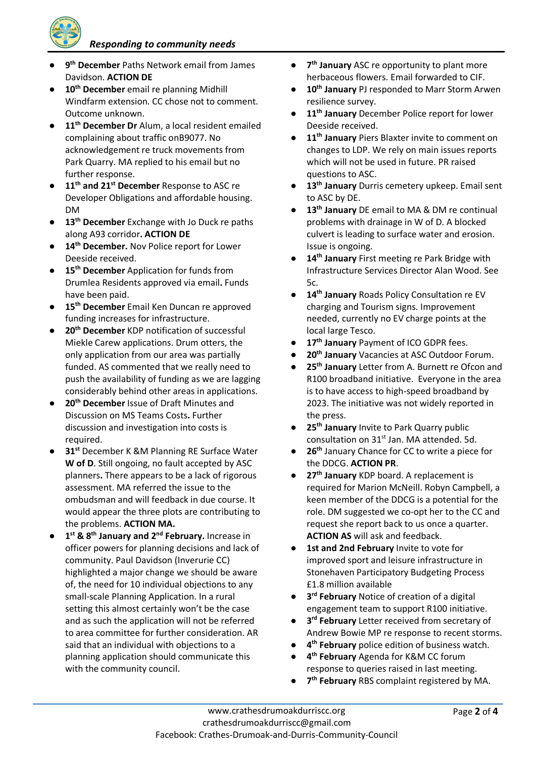*Responding to community needs*

- 9<sup>th</sup> December Paths Network email from James Davidson. **ACTION DE**
- 10<sup>th</sup> December email re planning Midhill Windfarm extension. CC chose not to comment. Outcome unknown.
- **11th December Dr** Alum, a local resident emailed complaining about traffic onB9077. No acknowledgement re truck movements from Park Quarry. MA replied to his email but no further response.
- **11th and 21st December** Response to ASC re Developer Obligations and affordable housing. DM
- **13th December** Exchange with Jo Duck re paths along A93 corridor**. ACTION DE**
- **14th December.** Nov Police report for Lower Deeside received.
- **15th December** Application for funds from Drumlea Residents approved via email**.** Funds have been paid.
- **15th December** Email Ken Duncan re approved funding increases for infrastructure.
- **20<sup>th</sup> December** KDP notification of successful Miekle Carew applications. Drum otters, the only application from our area was partially funded. AS commented that we really need to push the availability of funding as we are lagging considerably behind other areas in applications.
- **20<sup>th</sup> December** Issue of Draft Minutes and Discussion on MS Teams Costs**.** Further discussion and investigation into costs is required.
- **31st** December K &M Planning RE Surface Water **W of D**. Still ongoing, no fault accepted by ASC planners**.** There appears to be a lack of rigorous assessment. MA referred the issue to the ombudsman and will feedback in due course. It would appear the three plots are contributing to the problems. **ACTION MA.**
- 1<sup>st</sup> & 8<sup>th</sup> January and 2<sup>nd</sup> February. Increase in officer powers for planning decisions and lack of community. Paul Davidson (Inverurie CC) highlighted a major change we should be aware of, the need for 10 individual objections to any small-scale Planning Application. In a rural setting this almost certainly won't be the case and as such the application will not be referred to area committee for further consideration. AR said that an individual with objections to a planning application should communicate this with the community council.
- **7th January** ASC re opportunity to plant more herbaceous flowers. Email forwarded to CIF.
- 10<sup>th</sup> January PJ responded to Marr Storm Arwen resilience survey.
- 11<sup>th</sup> January December Police report for lower Deeside received.
- 11<sup>th</sup> January Piers Blaxter invite to comment on changes to LDP. We rely on main issues reports which will not be used in future. PR raised questions to ASC.
- **13th January** Durris cemetery upkeep. Email sent to ASC by DE.
- 13<sup>th</sup> January DE email to MA & DM re continual problems with drainage in W of D. A blocked culvert is leading to surface water and erosion. Issue is ongoing.
- 14<sup>th</sup> January First meeting re Park Bridge with Infrastructure Services Director Alan Wood. See 5c.
- 14<sup>th</sup> January Roads Policy Consultation re EV charging and Tourism signs. Improvement needed, currently no EV charge points at the local large Tesco.
- 17<sup>th</sup> January Payment of ICO GDPR fees.
- 20<sup>th</sup> January Vacancies at ASC Outdoor Forum.
- 25<sup>th</sup> January Letter from A. Burnett re Ofcon and R100 broadband initiative. Everyone in the area is to have access to high-speed broadband by 2023. The initiative was not widely reported in the press.
- 25<sup>th</sup> January Invite to Park Quarry public consultation on 31<sup>st</sup> Jan. MA attended. 5d.
- 26<sup>th</sup> January Chance for CC to write a piece for the DDCG. **ACTION PR**.
- 27<sup>th</sup> January KDP board. A replacement is required for Marion McNeill. Robyn Campbell, a keen member of the DDCG is a potential for the role. DM suggested we co-opt her to the CC and request she report back to us once a quarter. **ACTION AS** will ask and feedback.
- 1st and 2nd February Invite to vote for improved sport and leisure infrastructure in Stonehaven Participatory Budgeting Process £1.8 million available
- **3<sup>rd</sup> February** Notice of creation of a digital engagement team to support R100 initiative.
- **3<sup>rd</sup> February** Letter received from secretary of Andrew Bowie MP re response to recent storms.
- 4<sup>th</sup> **February** police edition of business watch.
- $4<sup>th</sup>$  **February** Agenda for K&M CC forum response to queries raised in last meeting.
- 7<sup>th</sup> February RBS complaint registered by MA.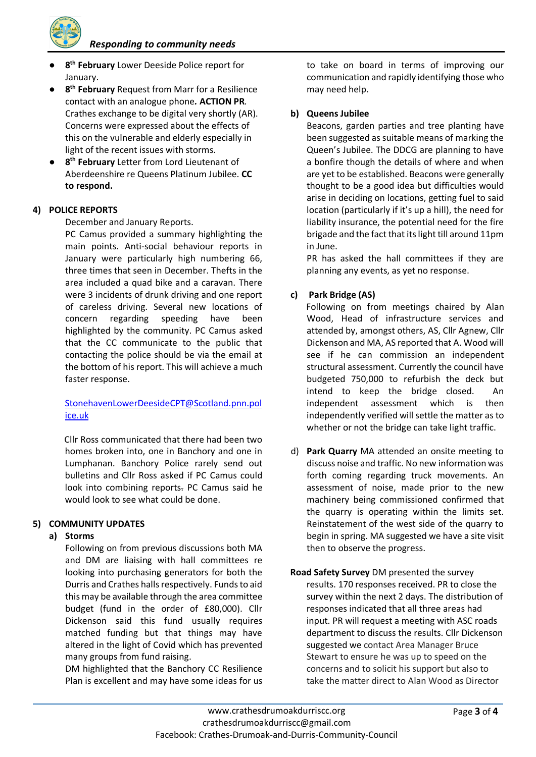*Responding to community needs*

- 8<sup>th</sup> February Lower Deeside Police report for January.
- 8<sup>th</sup> **February** Request from Marr for a Resilience contact with an analogue phone*.* **ACTION PR***.*  Crathes exchange to be digital very shortly (AR). Concerns were expressed about the effects of this on the vulnerable and elderly especially in light of the recent issues with storms.
- 8<sup>th</sup> **February** Letter from Lord Lieutenant of Aberdeenshire re Queens Platinum Jubilee. **CC to respond.**

## **4) POLICE REPORTS**

December and January Reports.

PC Camus provided a summary highlighting the main points. Anti-social behaviour reports in January were particularly high numbering 66, three times that seen in December. Thefts in the area included a quad bike and a caravan. There were 3 incidents of drunk driving and one report of careless driving. Several new locations of concern regarding speeding have been highlighted by the community. PC Camus asked that the CC communicate to the public that contacting the police should be via the email at the bottom of his report. This will achieve a much faster response.

# StonehavenLowerDeesideCPT@Scotland.pnn.pol ice.uk

 Cllr Ross communicated that there had been two homes broken into, one in Banchory and one in Lumphanan. Banchory Police rarely send out bulletins and Cllr Ross asked if PC Camus could look into combining reports. PC Camus said he would look to see what could be done.

# **5) COMMUNITY UPDATES**

## **a) Storms**

Following on from previous discussions both MA and DM are liaising with hall committees re looking into purchasing generators for both the Durris and Crathes halls respectively. Funds to aid this may be available through the area committee budget (fund in the order of £80,000). Cllr Dickenson said this fund usually requires matched funding but that things may have altered in the light of Covid which has prevented many groups from fund raising.

DM highlighted that the Banchory CC Resilience Plan is excellent and may have some ideas for us to take on board in terms of improving our communication and rapidly identifying those who may need help.

# **b) Queens Jubilee**

Beacons, garden parties and tree planting have been suggested as suitable means of marking the Queen's Jubilee. The DDCG are planning to have a bonfire though the details of where and when are yet to be established. Beacons were generally thought to be a good idea but difficulties would arise in deciding on locations, getting fuel to said location (particularly if it's up a hill), the need for liability insurance, the potential need for the fire brigade and the fact that its light till around 11pm in June.

PR has asked the hall committees if they are planning any events, as yet no response.

# **c) Park Bridge (AS)**

 Following on from meetings chaired by Alan Wood, Head of infrastructure services and attended by, amongst others, AS, Cllr Agnew, Cllr Dickenson and MA, AS reported that A. Wood will see if he can commission an independent structural assessment. Currently the council have budgeted 750,000 to refurbish the deck but intend to keep the bridge closed. An independent assessment which is then independently verified will settle the matter as to whether or not the bridge can take light traffic.

- d) **Park Quarry** MA attended an onsite meeting to discuss noise and traffic. No new information was forth coming regarding truck movements. An assessment of noise, made prior to the new machinery being commissioned confirmed that the quarry is operating within the limits set. Reinstatement of the west side of the quarry to begin in spring. MA suggested we have a site visit then to observe the progress.
- **Road Safety Survey** DM presented the survey results. 170 responses received. PR to close the survey within the next 2 days. The distribution of responses indicated that all three areas had input. PR will request a meeting with ASC roads department to discuss the results. Cllr Dickenson suggested we contact Area Manager Bruce Stewart to ensure he was up to speed on the concerns and to solicit his support but also to take the matter direct to Alan Wood as Director